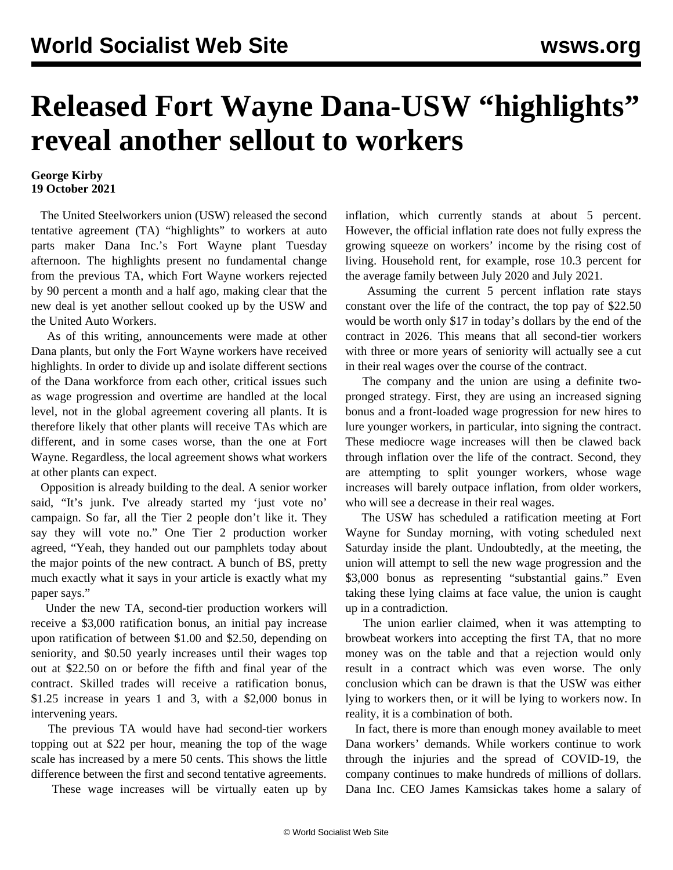## **Released Fort Wayne Dana-USW "highlights" reveal another sellout to workers**

## **George Kirby 19 October 2021**

 The United Steelworkers union (USW) released the second tentative agreement (TA) "highlights" to workers at auto parts maker Dana Inc.'s Fort Wayne plant Tuesday afternoon. The highlights present no fundamental change from the previous TA, which Fort Wayne workers rejected by 90 percent a month and a half ago, making clear that the new deal is yet another sellout cooked up by the USW and the United Auto Workers.

 As of this writing, announcements were made at other Dana plants, but only the Fort Wayne workers have received highlights. In order to divide up and isolate different sections of the Dana workforce from each other, critical issues such as wage progression and overtime are handled at the local level, not in the global agreement covering all plants. It is therefore likely that other plants will receive TAs which are different, and in some cases worse, than the one at Fort Wayne. Regardless, the local agreement shows what workers at other plants can expect.

 Opposition is already building to the deal. A senior worker said, "It's junk. I've already started my 'just vote no' campaign. So far, all the Tier 2 people don't like it. They say they will vote no." One Tier 2 production worker agreed, "Yeah, they handed out our pamphlets today about the major points of the new contract. A bunch of BS, pretty much exactly what it says in your article is exactly what my paper says."

 Under the new TA, second-tier production workers will receive a \$3,000 ratification bonus, an initial pay increase upon ratification of between \$1.00 and \$2.50, depending on seniority, and \$0.50 yearly increases until their wages top out at \$22.50 on or before the fifth and final year of the contract. Skilled trades will receive a ratification bonus, \$1.25 increase in years 1 and 3, with a \$2,000 bonus in intervening years.

 The previous TA would have had second-tier workers topping out at \$22 per hour, meaning the top of the wage scale has increased by a mere 50 cents. This shows the little difference between the first and second tentative agreements.

These wage increases will be virtually eaten up by

inflation, which currently stands at about 5 percent. However, the official inflation rate does not fully express the growing squeeze on workers' income by the rising cost of living. Household rent, for example, rose 10.3 percent for the average family between July 2020 and July 2021.

 Assuming the current 5 percent inflation rate stays constant over the life of the contract, the top pay of \$22.50 would be worth only \$17 in today's dollars by the end of the contract in 2026. This means that all second-tier workers with three or more years of seniority will actually see a cut in their real wages over the course of the contract.

 The company and the union are using a definite twopronged strategy. First, they are using an increased signing bonus and a front-loaded wage progression for new hires to lure younger workers, in particular, into signing the contract. These mediocre wage increases will then be clawed back through inflation over the life of the contract. Second, they are attempting to split younger workers, whose wage increases will barely outpace inflation, from older workers, who will see a decrease in their real wages.

 The USW has scheduled a ratification meeting at Fort Wayne for Sunday morning, with voting scheduled next Saturday inside the plant. Undoubtedly, at the meeting, the union will attempt to sell the new wage progression and the \$3,000 bonus as representing "substantial gains." Even taking these lying claims at face value, the union is caught up in a contradiction.

 The union earlier claimed, when it was attempting to browbeat workers into accepting the first TA, that no more money was on the table and that a rejection would only result in a contract which was even worse. The only conclusion which can be drawn is that the USW was either lying to workers then, or it will be lying to workers now. In reality, it is a combination of both.

 In fact, there is more than enough money available to meet Dana workers' demands. While workers continue to work through the injuries and the spread of COVID-19, the company continues to make hundreds of millions of dollars. Dana Inc. CEO James Kamsickas takes home a salary of